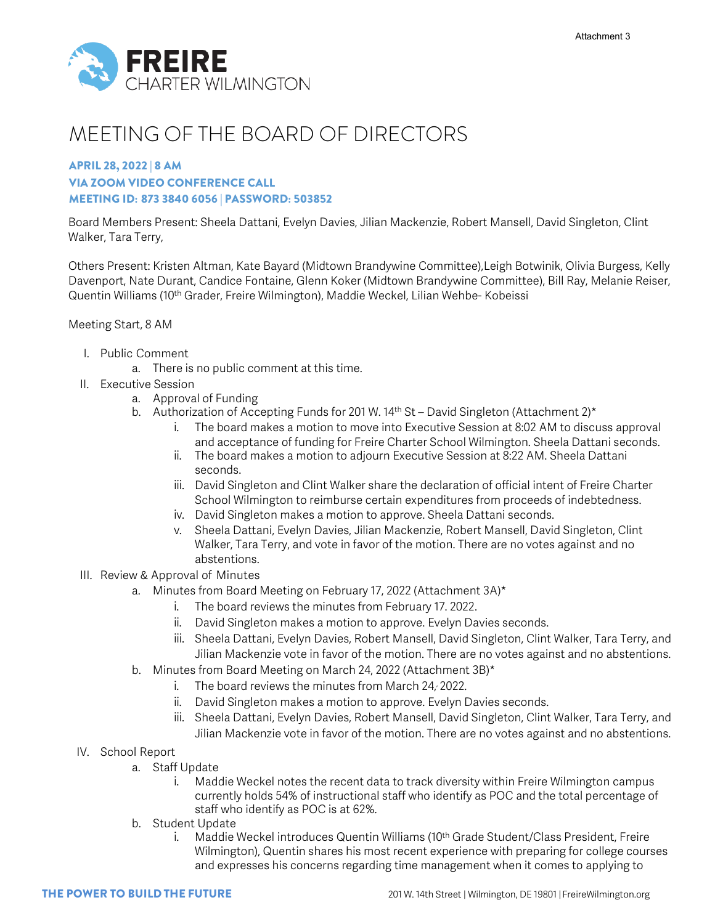

# MEETING OF THE BOARD OF DIRECTORS

## APRIL 28, 2022 | 8 AM VIA ZOOM VIDEO CONFERENCE CALL MEETING ID: 873 3840 6056 | PASSWORD: 503852

Board Members Present: Sheela Dattani, Evelyn Davies, Jilian Mackenzie, Robert Mansell, David Singleton, Clint Walker, Tara Terry,

Others Present: Kristen Altman, Kate Bayard (Midtown Brandywine Committee),Leigh Botwinik, Olivia Burgess, Kelly Davenport, Nate Durant, Candice Fontaine, Glenn Koker (Midtown Brandywine Committee), Bill Ray, Melanie Reiser, Quentin Williams (10<sup>th</sup> Grader, Freire Wilmington), Maddie Weckel, Lilian Wehbe- Kobeissi

## Meeting Start, 8 AM

- I. Public Comment
	- a. There is no public comment at this time.
- II. Executive Session
	- a. Approval of Funding
		- b. Authorization of Accepting Funds for 201 W. 14<sup>th</sup> St David Singleton (Attachment 2)<sup>\*</sup>
			- i. The board makes a motion to move into Executive Session at 8:02 AM to discuss approval and acceptance of funding for Freire Charter School Wilmington. Sheela Dattani seconds.
			- ii. The board makes a motion to adjourn Executive Session at 8:22 AM. Sheela Dattani seconds.
			- iii. David Singleton and Clint Walker share the declaration of official intent of Freire Charter School Wilmington to reimburse certain expenditures from proceeds of indebtedness.
			- iv. David Singleton makes a motion to approve. Sheela Dattani seconds.
			- v. Sheela Dattani, Evelyn Davies, Jilian Mackenzie, Robert Mansell, David Singleton, Clint Walker, Tara Terry, and vote in favor of the motion. There are no votes against and no abstentions.
- III. Review & Approval of Minutes
	- a. Minutes from Board Meeting on February 17, 2022 (Attachment 3A)\*
		- i. The board reviews the minutes from February 17. 2022.
		- ii. David Singleton makes a motion to approve. Evelyn Davies seconds.
		- iii. Sheela Dattani, Evelyn Davies, Robert Mansell, David Singleton, Clint Walker, Tara Terry, and Jilian Mackenzie vote in favor of the motion. There are no votes against and no abstentions.
	- b. Minutes from Board Meeting on March 24, 2022 (Attachment 3B)\*
		- i. The board reviews the minutes from March 24, , 2022.
		- ii. David Singleton makes a motion to approve. Evelyn Davies seconds.
		- iii. Sheela Dattani, Evelyn Davies, Robert Mansell, David Singleton, Clint Walker, Tara Terry, and Jilian Mackenzie vote in favor of the motion. There are no votes against and no abstentions.
- IV. School Report
	- a. Staff Update
		- i. Maddie Weckel notes the recent data to track diversity within Freire Wilmington campus currently holds 54% of instructional staff who identify as POC and the total percentage of staff who identify as POC is at 62%.
	- b. Student Update
		- i. Maddie Weckel introduces Quentin Williams (10th Grade Student/Class President, Freire Wilmington), Quentin shares his most recent experience with preparing for college courses and expresses his concerns regarding time management when it comes to applying to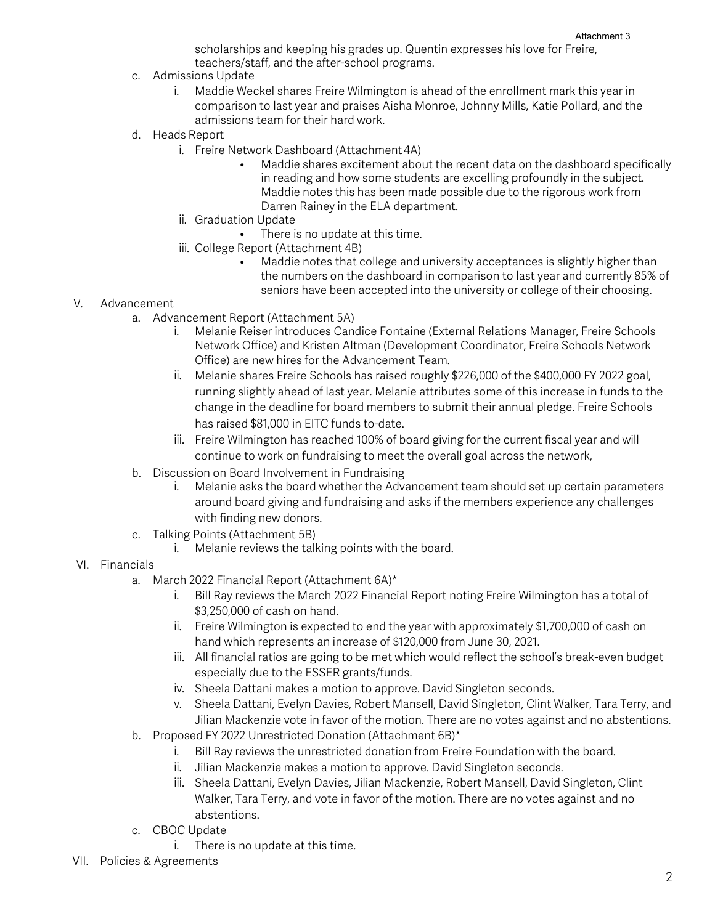scholarships and keeping his grades up. Quentin expresses his love for Freire, teachers/staff, and the after-school programs.

- c. Admissions Update
	- i. Maddie Weckel shares Freire Wilmington is ahead of the enrollment mark this year in comparison to last year and praises Aisha Monroe, Johnny Mills, Katie Pollard, and the admissions team for their hard work.
- d. Heads Report
	- i. Freire Network Dashboard (Attachment 4A)
		- Maddie shares excitement about the recent data on the dashboard specifically in reading and how some students are excelling profoundly in the subject. Maddie notes this has been made possible due to the rigorous work from Darren Rainey in the ELA department.
	- ii. Graduation Update
		- There is no update at this time.
	- iii. College Report (Attachment 4B)
		- Maddie notes that college and university acceptances is slightly higher than the numbers on the dashboard in comparison to last year and currently 85% of seniors have been accepted into the university or college of their choosing.

#### V. Advancement

- a. Advancement Report (Attachment 5A)
	- i. Melanie Reiser introduces Candice Fontaine (External Relations Manager, Freire Schools Network Office) and Kristen Altman (Development Coordinator, Freire Schools Network Office) are new hires for the Advancement Team.
	- ii. Melanie shares Freire Schools has raised roughly \$226,000 of the \$400,000 FY 2022 goal, running slightly ahead of last year. Melanie attributes some of this increase in funds to the change in the deadline for board members to submit their annual pledge. Freire Schools has raised \$81,000 in EITC funds to-date.
	- iii. Freire Wilmington has reached 100% of board giving for the current fiscal year and will continue to work on fundraising to meet the overall goal across the network,
- b. Discussion on Board Involvement in Fundraising
	- i. Melanie asks the board whether the Advancement team should set up certain parameters around board giving and fundraising and asks if the members experience any challenges with finding new donors.
- c. Talking Points (Attachment 5B)
	- i. Melanie reviews the talking points with the board.

#### VI. Financials

- a. March 2022 Financial Report (Attachment 6A)\*
	- i. Bill Ray reviews the March 2022 Financial Report noting Freire Wilmington has a total of \$3,250,000 of cash on hand.
	- ii. Freire Wilmington is expected to end the year with approximately \$1,700,000 of cash on hand which represents an increase of \$120,000 from June 30, 2021.
	- iii. All financial ratios are going to be met which would reflect the school's break-even budget especially due to the ESSER grants/funds.
	- iv. Sheela Dattani makes a motion to approve. David Singleton seconds.
	- v. Sheela Dattani, Evelyn Davies, Robert Mansell, David Singleton, Clint Walker, Tara Terry, and Jilian Mackenzie vote in favor of the motion. There are no votes against and no abstentions.
- b. Proposed FY 2022 Unrestricted Donation (Attachment 6B)\*
	- i. Bill Ray reviews the unrestricted donation from Freire Foundation with the board.
	- ii. Jilian Mackenzie makes a motion to approve. David Singleton seconds.
	- iii. Sheela Dattani, Evelyn Davies, Jilian Mackenzie, Robert Mansell, David Singleton, Clint Walker, Tara Terry, and vote in favor of the motion. There are no votes against and no abstentions.
- c. CBOC Update
	- i. There is no update at this time.
- VII. Policies & Agreements